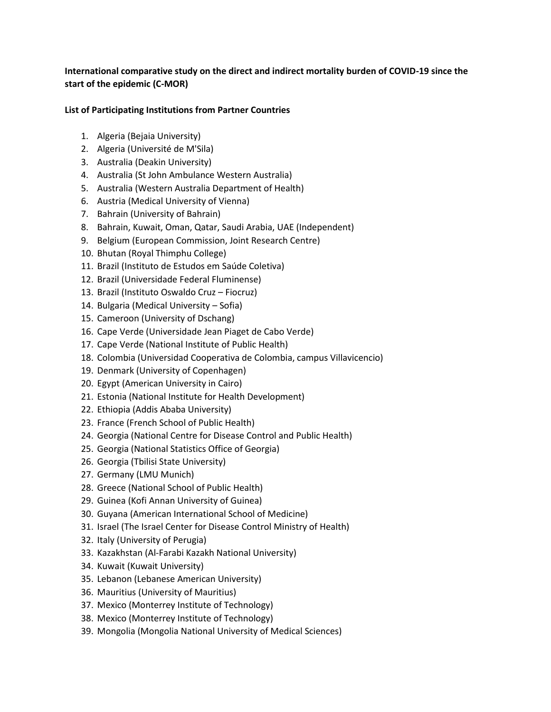## **International comparative study on the direct and indirect mortality burden of COVID-19 since the start of the epidemic (C-MOR)**

## **List of Participating Institutions from Partner Countries**

- 1. Algeria (Bejaia University)
- 2. Algeria (Université de M'Sila)
- 3. Australia (Deakin University)
- 4. Australia (St John Ambulance Western Australia)
- 5. Australia (Western Australia Department of Health)
- 6. Austria (Medical University of Vienna)
- 7. Bahrain (University of Bahrain)
- 8. Bahrain, Kuwait, Oman, Qatar, Saudi Arabia, UAE (Independent)
- 9. Belgium (European Commission, Joint Research Centre)
- 10. Bhutan (Royal Thimphu College)
- 11. Brazil (Instituto de Estudos em Saúde Coletiva)
- 12. Brazil (Universidade Federal Fluminense)
- 13. Brazil (Instituto Oswaldo Cruz Fiocruz)
- 14. Bulgaria (Medical University Sofia)
- 15. Cameroon (University of Dschang)
- 16. Cape Verde (Universidade Jean Piaget de Cabo Verde)
- 17. Cape Verde (National Institute of Public Health)
- 18. Colombia (Universidad Cooperativa de Colombia, campus Villavicencio)
- 19. Denmark (University of Copenhagen)
- 20. Egypt (American University in Cairo)
- 21. Estonia (National Institute for Health Development)
- 22. Ethiopia (Addis Ababa University)
- 23. France (French School of Public Health)
- 24. Georgia (National Centre for Disease Control and Public Health)
- 25. Georgia (National Statistics Office of Georgia)
- 26. Georgia (Tbilisi State University)
- 27. Germany (LMU Munich)
- 28. Greece (National School of Public Health)
- 29. Guinea (Kofi Annan University of Guinea)
- 30. Guyana (American International School of Medicine)
- 31. Israel (The Israel Center for Disease Control Ministry of Health)
- 32. Italy (University of Perugia)
- 33. Kazakhstan (Al-Farabi Kazakh National University)
- 34. Kuwait (Kuwait University)
- 35. Lebanon (Lebanese American University)
- 36. Mauritius (University of Mauritius)
- 37. Mexico (Monterrey Institute of Technology)
- 38. Mexico (Monterrey Institute of Technology)
- 39. Mongolia (Mongolia National University of Medical Sciences)